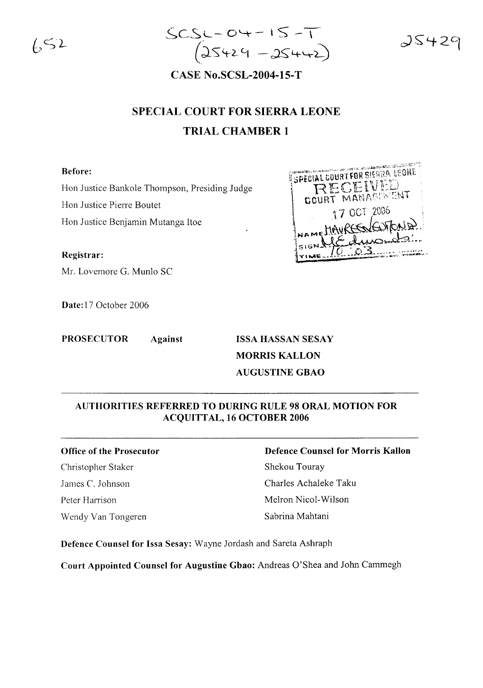$\sqrt{52}$ 



 $35429$ 

**CASE No.SCSL-2004-15-T**

# **SPECIAL COURT FOR SIERRA LEONE TRIAL CHAMBER 1**

## **Before:**

Hon Justice Bankole Thompson, Presiding Judge

Hon Justice Pierre Boutet

Hon Justice Benjamin Mutanga Itoe

**Registrar:**

Mr. Lovemore G. Munlo SC

**Date:** 17 October 2006

**PROSECUTOR Against ISSA HASSAN SESAY**

**MORRIS KALLON AUGUSTINE GBAO**

## **AUTHORITIES REFERRED TO DURING RULE 98 ORAL MOTION FOR ACQUITTAL, 16 OCTOBER 2006**

### **Office of the Prosecutor**

Christopher Staker James C. Johnson Peter Harrison Wendy Van Tongeren

## **Defence Counsel for Morris Kallon** Shekou Touray

Charles Achaleke Taku Melron Nicol-Wilson Sabrina Mahtani

**Defence Counsel for Issa Sesay:** Wayne Jordash and Sareta Ashraph

**Court Appointed Counsel for Augustine Gbao:** Andreas O'Shea and John Cammegh

**Comment Call Li** SPECIAL COURT FOR SIERRA LEONE ECEIVEL COURT MANAGEMENT 17 OCT 2006 ME HAVRESSENTO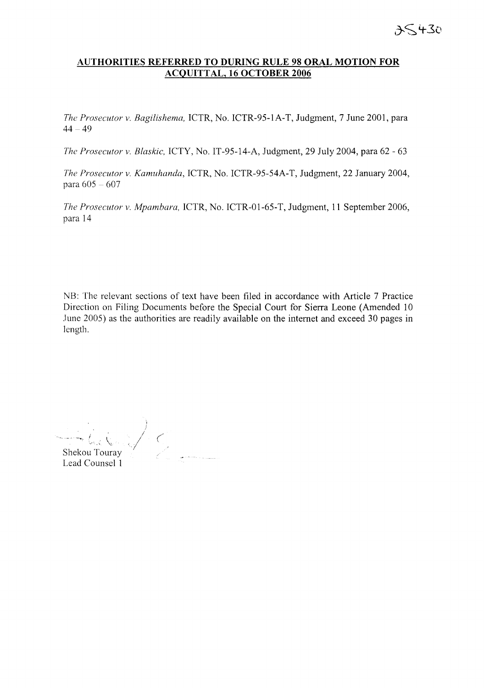## **AUTHORITIES REFERRED TO DURING RULE 98 ORAL MOTION FOR ACQUITTAL, 16 OCTOBER 2006**

*The Prosecutor v. Bagilishema,* ICTR, No. ICTR-95-1A-T, Judgment, 7 June 2001, para  $44 - 49$ 

*The Prosecutor v. Blaskic,* ICTY, No. IT-95-14-A, Judgment, 29 July 2004, para 62 - 63

*The Prosecutor v. Kamuhanda,* ICTR, No. ICTR-95-54A-T, Judgment, 22 January 2004, para 605 - 607

*The Prosecutor v. Mpambara,* ICTR, No. ICTR-01-65-T, Judgment, **11** September 2006, para 14

NB: The relevant sections of text have been filed in accordance with Article 7 Practice Direction on Filing Documents before the Special Court for Sierra Leone (Amended 10 June 2005) as the authorities are readily available on the internet and exceed 30 pages in length.

 $\mathbb{Z}/\mathbb{C}$ Shekou Touray<br>
Lead Counsel 1 Shekou Touray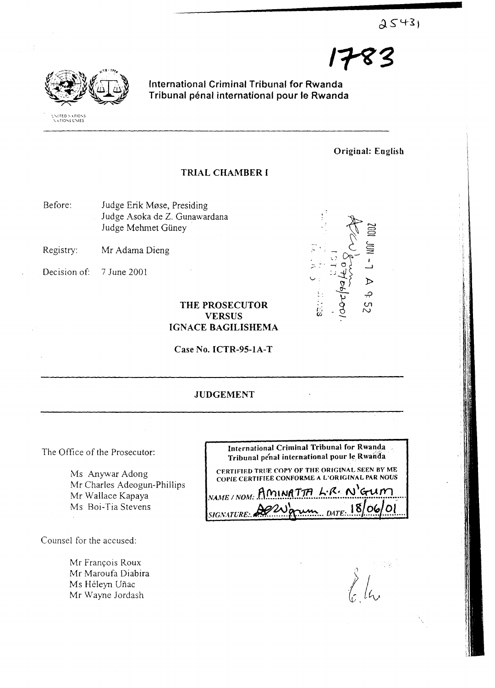$2543$ 



International Criminal Tribunal for Rwanda Tribunal pénal international pour le Rwanda

Original: English

1783

## TRIAL CHAMBER [

- Before: Judge Erik Mose, Presiding Judge Asoka de Z. Gunawardana Judge Mehmet Güney
- Registry: Mr Adama Dieng
- Decision of: 7 June 2001



## THE PROSECUTOR VERSUS IGNACE BAGILISHEMA

Case No. ICTR-95-1A-T

## JUDGEMENT

The Office of the Prosecutor:

Ms Anywar Adong Mr Charles Adeogun-Phillips Mr Wallace Kapaya Ms Boi-Tia Stevens

Counsel for the accused:

Mr François Roux Mr Maroufa Diabira Ms Héleyn Uñac Mr Wayne Jordash

 $\sum_{l=1}^{N}$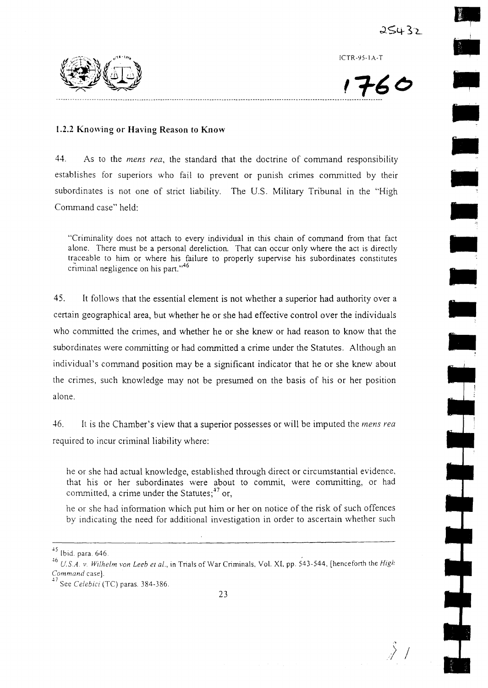,.

•

•

•

•

•

•

•

•

•

•,

ICTR-95-IA-T

 $1760$ 

., ;> /

## **1.2.2 Kno\ving or Having Reason to Know**

44. As to the *mens rea,* the standard that the doctrine of command responsibility establishes for superiors who fail to prevent or punish crimes committed by their subordinates is not one of strict liability. The U.S. Military Tribunal in the "High Command case" held:

"Criminality does not attach to every individual in this chain of command from that fact alone. There must be a personal dereliction. That can occur only where the act is directly traceable to him or where his failure to properly supervise his subordinates constitutes criminal negligence on his part."<sup>46</sup>

45. It follows that the essential element is not whether a superior had authority over a certain geographical area, but whether he or she had effective control over the individuals who committed the crimes, and whether he or she knew or had reason to know that the subordinates were committing or had committed a crime under the Statutes. Although an individual's command position may be a significant indicator that he or she knew about the crimes, such knowledge may not be presumed on the basis of his or her position alone.

46. It is the Chamber's view that a superior possesses or will be imputed the *mens rea* required to incur criminal liability where:

he or she had actual knowledge, established through direct or circumstantial evidence, that his or her subordinates were about to commit, were committing, or had committed, a crime under the Statutes; $^{47}$  or,

he or she had information which put him or her on notice of the risk of such offences by indicating the need for additional investigation in order to ascertain whether such

 $^{45}$  Ibid. para. 646.

*<sup>.+6</sup> USA* v. *Wilhelm von Leeb et al.,* in Trials of War Criminals, Vol. XI, pp. 543-544, [henceforth the *High Command* case].

<sup>.\7</sup> See *Celebici* (TC) paras. 384-386.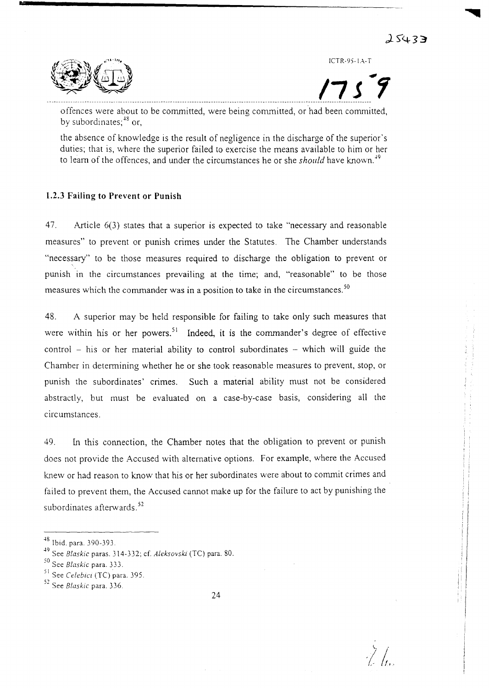ICTR-95-1.A-T

**17J"1**

 $\frac{1}{L^2}\int_{I_0}$ 



**•**

offences were about to be committed, were being committed, or had been committed, by subordinates:<sup>48</sup> or.

the absence of knowledge is the result of negligence in the discharge of the superior's duties; that is, where the superior failed to exercise the means available to him or her to learn of the offences, and under the circumstances he or she *should* have known.<sup>19</sup>

## 1.2.3 Failing to Prevent or Punish

47. Article 6(3) states that a superior is expected to take "necessary and reasonable measures" to prevent or punish crimes under the Statutes. The Chamber understands "necessary" to be those measures required to discharge the obligation to prevent or punish in the circumstances prevailing at the time; and, "reasonable" to be those measures which the commander was in a position to take in the circumstances.<sup>50</sup>

48. A superior may be held responsible for failing to take only such measures that were within his or her powers.<sup>51</sup> Indeed, it is the commander's degree of effective control  $-$  his or her material ability to control subordinates  $-$  which will guide the Chamber in determining whether he or she took reasonable measures to prevent, stop, or punish the subordinates' crimes. Such a material ability must not be considered abstractly, but must be evaluated on a case-by-case basis, considering all the circumstances.

49. In this connection, the Chamber notes that the obligation to prevent or punish does not provide the Accused with alternative options. For example, where the Accused knew or had reason to know that his or her subordinates were about to commit crimes and failed to prevent them, the Accused cannot make up for the failure to act by punishing the subordinates afterwards.<sup>52</sup>

<sup>-18</sup> Ibid. para. 390-393.

<sup>-19</sup> See *Blaskic* paras. 314-332; cf. *Aleksovski* (Te) para. 80.

<sup>50</sup> See *Blaskic* para. 333.

<sup>&</sup>lt;sup>51</sup> See *Celebici* (TC) para. 395.

<sup>52</sup> See *Blaskic* para. 336.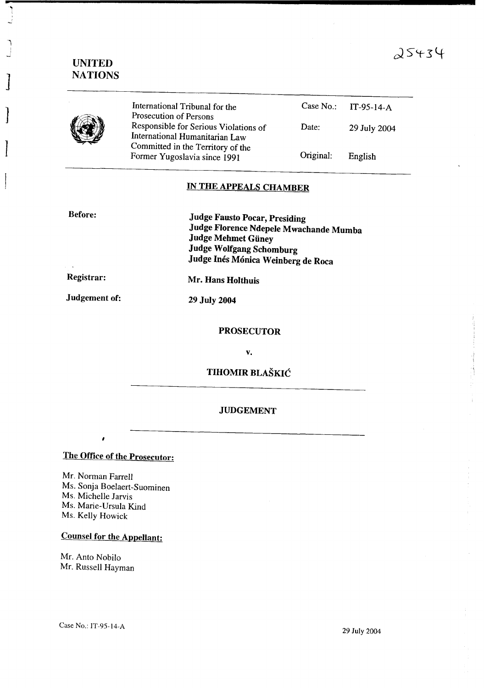## $25434$

## UNITED NATIONS

**•**

اب<br>ا

]

 $\vert$ 

J



International Tribunal for the Prosecution of Persons Responsible for Serious Violations of International Humanitarian Law Committed in the Territory of the Former Yugoslavia since 1991

| Case No.: | $IT-95-14-A$ |
|-----------|--------------|
| Date:     | 29 July 2004 |
| Original: | English      |

## IN THE APPEALS CHAMBER

Before:

Judge Fausto Pocar, Presiding Judge Florence Ndepele Mwachande Mumba Judge Mehmet Giiney Judge Wolfgang Schomburg Judge Inés Mónica Weinberg de Roca

Registrar:

Judgement of:

Mr. Hans Holthuis

29 July 2004

### PROSECUTOR

v.

TIHOMIR BLASKIC

## JUDGEMENT

The Office of the Prosecutor:

Mr. Norman Farrell Ms. Sonja Boelaert-Suominen Ms. Michelle Jarvis Ms. Marie-Ursula Kind Ms. Kelly Howick

## Counsel for the Appellant:

Mr. Anto Nobilo Mr. Russell Hayman

29 July 2004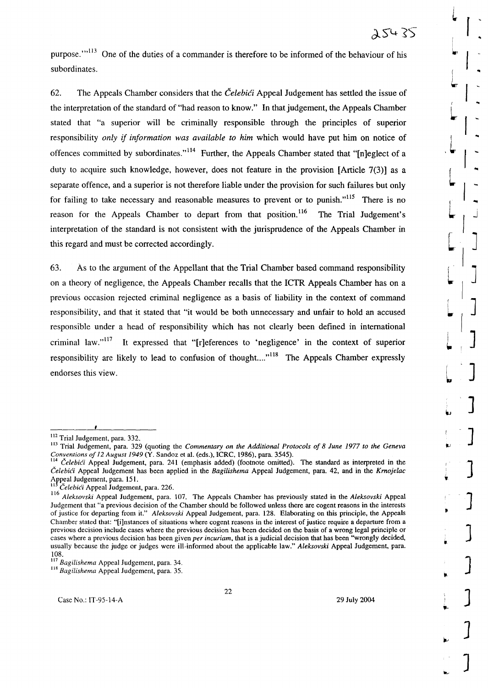]

]

]

]

]

 $\int$ 

]

]

م<br>[

L

 $\mid$ 

j ~.

purpose."<sup>113</sup> One of the duties of a commander is therefore to be informed of the behaviour of his subordinates.

62. The Appeals Chamber considers that the *CelebiCi* Appeal Judgement has settled the issue of the interpretation of the standard of "had reason to know." In that judgement, the Appeals Chamber stated that "a superior will be criminally responsible through the principles of superior responsibility *only* if *information was available to him* which would have put him on notice of offences committed by subordinates."<sup>114</sup> Further, the Appeals Chamber stated that "Inleglect of a duty to acquire such knowledge, however, does not feature in the provision [Article 7(3)] as a separate offence, and a superior is not therefore liable under the provision for such failures but only for failing to take necessary and reasonable measures to prevent or to punish. $115$  There is no reason for the Appeals Chamber to depart from that position.<sup>116</sup> The Trial Judgement's interpretation of the standard is not consistent with the jurisprudence of the Appeals Chamber in this regard and must be corrected accordingly.

63. As to the argument of the Appellant that the Trial Chamber based command responsibility on a theory of negligence, the Appeals Chamber recalls that the ICTR Appeals Chamber has on a previous occasion rejected criminal negligence as a basis of liability in the context of command responsibility, and that it stated that "it would be both unnecessary and unfair to hold an accused responsible under a head of responsibility which has not clearly been defined in international criminal law." $117$  It expressed that "[r]eferences to 'negligence' in the context of superior responsibility are likely to lead to confusion of thought...."<sup>118</sup> The Appeals Chamber expressly endorses this view.

22

<sup>112</sup> Trial Judgement, para. 332.

<sup>113</sup> Trial Judgement, para. 329 (quoting the *Commentary on the Additional Protocols of* 8 *June* 1977 *to the Geneva Conventions of* 12 *August* 1949 (Y. Sandoz et al. (eds.), ICRC, 1986), para. 3545).

<sup>&</sup>lt;sup>114</sup> *Celebići* Appeal Judgement, para. 241 (emphasis added) (footnote omitted). The standard as interpreted in the *CelebiCi* Appeal Judgement has been applied in the *Bagilishema* Appeal Judgement, para. 42, and in the *Kmojelac* Appeal Judgement, para. 151.

<sup>11</sup> *CelebiCi* Appeal Judgement, para. 226.

<sup>116</sup> *Aleksovski* Appeal Judgement, para. 107. The Appeals Chamber has previously stated in the *Aleksovski* Appeal Judgement that "a previous decision of the Chamber should be followed unless there are cogent reasons in the interests of justice for departing from it." *Aleksovski* Appeal Judgement, para. 128. Elaborating on this principle, the Appeals Chamber stated that: "[i]nstances of situations where cogent reasons in the interest of justice require a departure from a previous decision include cases where the previous decision has been decided on the basis of a wrong legal principle or cases where a previous decision has been given *per incuriam,* that is a judicial decision that has been "wrongly decided, usually because the judge or judges were ill-informed about the applicable law." *Aleksovski* Appeal Judgement, para. 108.

<sup>117</sup> *Bagilishema* Appeal Judgement, para. 34.

<sup>118</sup> *Bagilishema* Appeal Judgement, para. 35.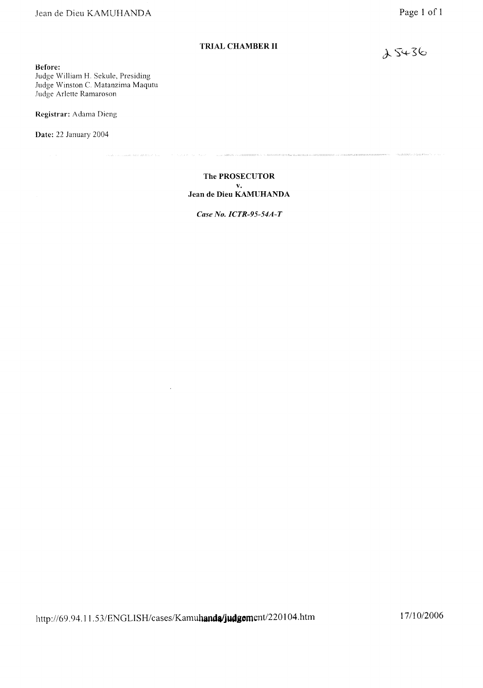**Before:**

Judge William H. Sekule, Presiding Judge Winston C. Matanzima Maqutu Judge Arlette Ramaroson

. Society exist performance and

**Registrar:** Adama Dieng

**Date:** 22 January 2004

**The PROSECUTOR v. Jean de Dieu KAMUHANDA**

 $\tau_{\rm{max}}$  is indifficible  $\tau$  to denote

.<br>National construction of survey and accommendate consisting

rge is a comparationalize

*Case No. ICTR-95-54A-T*

 $25436$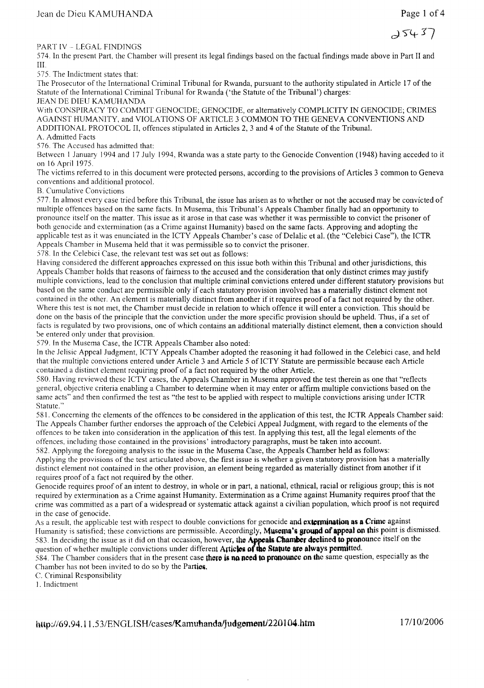PART IV - LEGAL FINDINGS

574. In the present Part, the Chamber will present its legal findings based on the factual findings made above in Part II and III.

575 The Indictment states that:

The Prosecutor of the International Criminal Tribunal for Rwanda, pursuant to the authority stipulated in Article 17 of the Statute of the International Criminal Tribunal for Rwanda ('the Statute of the Tribunal') charges:

## JEAN DE DIEU KAMUHANDA

With CONSPIRACY TO COMMIT GENOCIDE; GENOCIDE, or alternatively COMPLICITY IN GENOCIDE; CRIMES AGAINST HUMANITY, and VIOLATIONS OF ARTICLE 3 COMMON TO THE GENEVA CONVENTIONS AND ADDITIONAL PROTOCOL II, offences stipulated in Articles 2, 3 and 4 of the Statute ofthe Tribunal. A. Admitted Facts

576. The Accused has admitted that:

Between I January 1994 and 17 July 1994, Rwanda was a state party to the Genocide Convention (1948) having acceded to it on 16 April 1975.

The victims referred to in this document were protected persons, according to the provisions of Articles 3 common to Geneva conventions and additional protocol.

B. Cumulative Convictions

577. In almost every case tried before this Tribunal, the issue has arisen as to whether or not the accused may be convicted of multiple offences based on the same facts. In Musema, this Tribunal's Appeals Chamber finally had an opportunity to pronounce itself on the matter. This issue as it arose in that case was whether it was permissible to convict the prisoner of both genocide and extermination (as a Crime against Humanity) based on the same facts. Approving and adopting the applicable test as it was enunciated in the ICTY Appeals Chamber's case of Delalic et al. (the "Celebici Case"), the ICTR Appeals Chamber in Musema held that it was permissible so to convict the prisoner.

578. In the Celebici Case, the relevant test was set out as follows:

Having considered the different approaches expressed on this issue both within this Tribunal and other jurisdictions, this Appeals Chamber holds that reasons of fairness to the accused and the consideration that only distinct crimes may justify multiple convictions, lead to the conclusion that multiple criminal convictions entered under different statutory provisions but based on the same conduct are permissible only if each statutory provision involved has a materially distinct element not contained in the other. An element is materially distinct from another if it requires proof of a fact not required by the other. Where this test is not met, the Chamber must decide in relation to which offence it will enter a conviction. This should be done on the basis of the principle that the conviction under the more specific provision should be upheld. Thus, if a set of facts is regulated by two provisions, one of which contains an additional materially distinct element, then a conviction should be entered only under that provision.

579. In the Musema Case, the ICTR Appeals Chamber also noted:

In the Jelisic Appeal Judgment, ICTY Appeals Chamber adopted the reasoning it had followed in the Celebici case, and held that the multiple convictions entered under Article 3 and Article 5 of ICTY Statute are permissible because each Article contained a distinct element requiring proof of a fact not required by the other Article.

580. Having reviewed these ICTY cases, the Appeals Chamber in Musema approved the test therein as one that "reflects general, objective criteria enabling a Chamber to determine when it may enter or affirm multiple convictions based on the same acts" and then confirmed the test as "the test to be applied with respect to multiple convictions arising under ICTR Statute. "

581. Concerning the elements of the offences to be considered in the application of this test, the ICTR Appeals Chamber said: The Appeals Chamber further endorses the approach of the Celebici Appeal Judgment, with regard to the elements of the offences to be taken into consideration in the application ofthis test. In applying this test, all the legal elements ofthe offences, including those contained in the provisions' introductory paragraphs, must be taken into account.

582. Applying the foregoing analysis to the issue in the Musema Case, the Appeals Chamber held as follows: Applying the provisions of the test articulated above, the first issue is whether a given statutory provision has a materially distinct element not contained in the other provision, an element being regarded as materially distinct from another if it requires proof of a fact not required by the other.

Genocide requires proof of an intent to destroy, in whole or in part, a national, ethnical, racial or religious group; this is not required by extermination as a Crime against Humanity. Extermination as a Crime against Humanity requires proofthat the crime was committed as a part of a widespread or systematic attack against a civilian population, which proof is not required in the case of genocide.

As a result, the applicable test with respect to double convictions for genocide and extermination as a Crime against Humanity is satisfied; these convictions are permissible. Accordingly, Musema's ground of appeal on this point is dismissed. 583. In deciding the issue as it did on that occasion, however, the Appeals Chamber declined to pronounce itself on the question of whether multiple convictions under different Articles of the Statute are always permitted.

584. The Chamber considers that in the present case there is no need to pronounce on the same question, especially as the Chamber has not been invited to do so by the Parties,

C. Criminal Responsibility

I. Indictment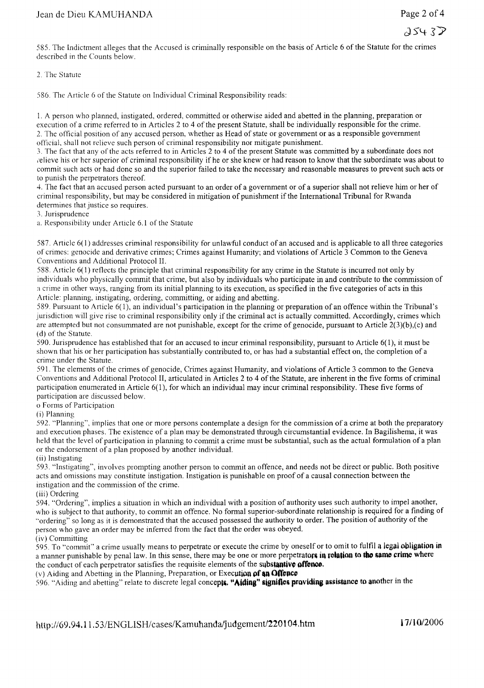d5lt *S:Y*

585. The Indictment alleges that the Accused is criminally responsible on the basis of Article 6 of the Statute for the crimes described in the Counts below.

2. The Statute

586. The Article 6 of the Statute on Individual Criminal Responsibility reads:

I. A person who planned, instigated, ordered, committed or otherwise aided and abetted in the planning, preparation or execution of a crime referred to in Articles 2 to 4 of the present Statute, shall be individually responsible for the crime. 2. The official position of any accused person, whether as Head of state or government or as a responsible government official, shall not relieve such person of criminal responsibility nor mitigate punishment.

3. The fact that any of the acts referred to in Articles 2 to 4 of the present Statute was committed by a subordinate does not ,'elieve his or her superior of criminal responsibility if he or she knew or had reason to know that the subordinate was about to commit such acts or had done so and the superior failed to take the necessary and reasonable measures to prevent such acts or to punish the perpetrators thereof.

4. The fact that an accused person acted pursuant to an order of a government or of a superior shall not relieve him or her of criminal responsibility, but may be considered in mitigation of punishment ifthe International Tribunal for Rwanda determines that justice so requires.

3. Jurisprudence

a. Responsibility under Article 6.1 of the Statute

587. Article 6(1) addresses criminal responsibility for unlawful conduct of an accused and is applicable to all three categories of crimes: genocide and derivative crimes; Crimes against Humanity; and violations of Article 3 Common to the Geneva Conventions and Additional Protocol II.

588. Article 6( 1) reflects the principle that criminal responsibility for any crime in the Statute is incurred not only by individuals who physically commit that crime, but also by individuals who participate in and contribute to the commission of a crime in other ways, ranging from its initial planning to its execution, as specified in the five categories of acts in this Article: planning, instigating, ordering, committing, or aiding and abetting.

589. Pursuant to Article 6( I), an individual's participation in the planning or preparation of an offence within the Tribunal's jurisdiction will give rise to criminal responsibility only if the criminal act is actually committed. Accordingly, crimes which are attempted but not consummated are not punishable, except for the crime of genocide, pursuant to Article  $2(3)(b)$ ,(c) and (d) of the Statute.

590. Jurisprudence has established that for an accused to incur criminal responsibility, pursuant to Article 6(1), it must be shown that his or her participation has substantially contributed to, or has had a substantial effect on, the completion of a crime under the Statute.

591. The elements of the crimes of genocide, Crimes against Humanity, and violations of Article 3 common to the Geneva Conventions and Additional Protocol II, articulated in Articles 2 to 4 of the Statute, are inherent in the five forms of criminal participation enumerated in Article 6(1), for which an individual may incur criminal responsibility. These five forms of participation are discussed below.

o Forms of Participation

(i) Planning

592. "Planning", implies that one or more persons contemplate a design for the commission of a crime at both the preparatory and execution phases. The existence of a plan may be demonstrated through circumstantial evidence. In Bagilishema, it was held that the level of participation in planning to commit a crime must be substantial, such as the actual formulation of a plan or the endorsement of a plan proposed by another individual.

(ii) Instigating

593. "Instigating", involves prompting another person to commit an offence, and needs not be direct or public. Both positive acts and omissions may constitute instigation. Instigation is punishable on proof of a causal connection between the instigation and the commission of the crime.

(iii) Ordering

594. "Ordering", implies a situation in which an individual with a position of authority uses such authority to impel another, who is subject to that authority, to commit an offence. No formal superior-subordinate relationship is required for a finding of "ordering" so long as it is demonstrated that the accused possessed the authority to order. The position of authority of the person who gave an order may be inferred from the fact that the order was obeyed.

(iv) Committing

595. To "commit" a crime usually means to perpetrate or execute the crime by oneself or to omit to fulfil a legal **obligation in** a manner punishable by penal law. In this sense, there may be one or more perpetrators in relation to the same crime where the conduct of each perpetrator satisfies the requisite elements of the substantive offence.

(v) Aiding and Abetting in the Planning, Preparation, or Execution of an Offence

596. "Aiding and abetting" relate to discrete legal concepts. "Aiding" signifies providing assistance to another in the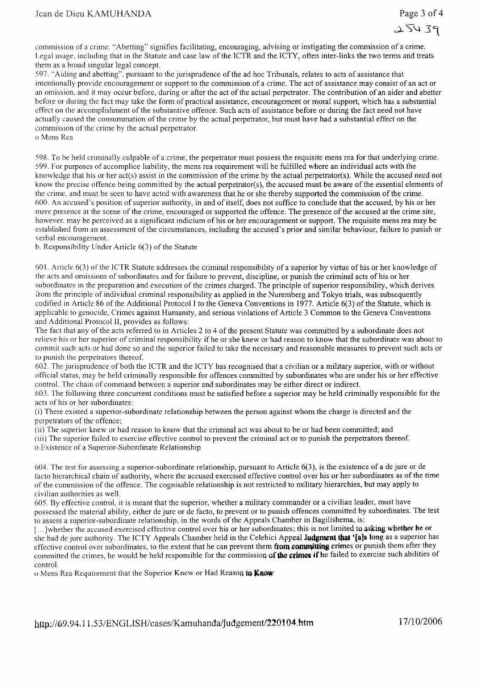$72434$ 

commission of a crime. "Abetting" signifies facilitating, encouraging, advising or instigating the commission of a crime. Legal usage, including that in the Statute and case law of the ICTR and the ICTY, often inter-links the two terms and treats them as a broad singular legal concept.

597. "Aiding and abetting", pursuant to the jurisprudence of the ad hoc Tribunals, relates to acts of assistance that intentionally provide encouragement or support to the commission of a crime. The act of assistance may consist of an act or an omission, and it may occur before, during or after the act of the actual perpetrator. The contribution of an aider and abetter before or during the fact may take the form of practical assistance, encouragement or moral support, which has a substantial effect on the accomplishment of the substantive offence. Such acts of assistance before or during the fact need not have actually caused the consummation of the crime by the actual perpetrator, but must have had a substantial effect on the commission of the crime by the actual perpetrator. o Mens Rea

598. To be held criminally culpable of a crime, the perpetrator must possess the requisite mens rea for that underlying crime. 599. For purposes of accomplice liability, the mens rea requirement will be fulfilled where an individual acts with the knowledge that his or her act(s) assist in the commission of the crime by the actual perpetrator(s). While the accused need not know the precise offence being committed by the actual perpetrator(s), the accused must be aware of the essential elements of the crime, and must be seen to have acted with awareness that he or she thereby supported the commission of the crime. 600. An accused's position ofsuperior authority, in and of itself, does not suffice to conclude that the accused, by his or her mere presence at the scene of the crime, encouraged or supported the offence. The presence of the accused at the crime site, however, may be perceived as a significant indicium of his or her encouragement or support. The requisite mens rea may be established from an assessment ofthe circumstances, including the accused's prior and similar behaviour, failure to punish or verbal encouragement.

b. Responsibility Under Article 6(3) of the Statute

60 I. Article 6( 3) of the ICTR Statute addresses the criminal responsibility of a superior by virtue of his or her knowledge of the acts and omissions of subordinates and for failure to prevent, discipline, or punish the criminal acts of his or her subordinates in the preparation and execution of the crimes charged. The principle of superior responsibility, which derives ;rom the principle of individual criminal responsibility as applied in the Nuremberg and Tokyo trials, was subsequently codified in Article 86 of the Additional Protocol I to the Geneva Conventions in 1977. Article 6(3) ofthe Statute, which is applicable to genocide, Crimes against Humanity, and serious violations of Article 3 Common to the Geneva Conventions and Additional Protocol II, provides as follows:

The fact that any of the acts referred to in Articles 2 to 4 of the present Statute was committed by a subordinate does not relieve his or her superior of criminal responsibility ifhe or she knew or had reason to know that the subordinate was about to commit such acts or had done so and the superior failed to take the necessary and reasonable measures to prevent such acts or to punish the perpetrators thereof.

602. The jurisprudence of both the ICTR and the ICTY has recognised that a civilian or a military superior, with or without official status, may be held criminally responsible for offences committed by subordinates who are under his or her effective control. The chain of command between a superior and subordinates may be either direct or indirect.

603. The following three concurrent conditions must be satisfied before a superior may be held criminally responsible for the acts of his or her subordinates:

(i) There existed a superior-subordinate relationship between the person against whom the charge is directed and the perpetrators of the offence;

(ii) The superior knew or had reason to know that the criminal act was about to be or had been committed; and

(iii) The superior failed to exercise effective control to prevent the criminal act or to punish the perpetrators thereof. o Existence of a Superior-Subordinate Relationship

604. The test for assessing a superior-subordinate relationship, pursuant to Article 6(3), is the existence of a de jure or de facto hierarchical chain of authority, where the accused exercised effective control over his or her subordinates as of the time of the commission of the offence. The cognisable relationship is not restricted to military hierarchies, but may apply to civilian authorities as well.

605. By effective control, it is meant that the superior, whether a military commander or a civilian leader, must have possessed the material ability, either de jure or de facto, to prevent or to punish offences committed by subordinates. The test to assess a superior-subordinate relationship, in the words of the Appeals Chamber in Bagilishema, is:

[...]whether the accused exercised effective control over his or her subordinates; this is not limited to asking whether he or she had de jure authority. The ICTY Appeals Chamber held in the Celebici Appeal Judgment that '[a]s long as a superior has effective control over subordinates, to the extent that he can prevent them **from commutting** crimes or punish them after they committed the crimes, he would be held responsible for the commission of the crimes if he failed to exercise such abilities of control.

o Mens Rea Requirement that the Superior Knew or Had Reason to **Know**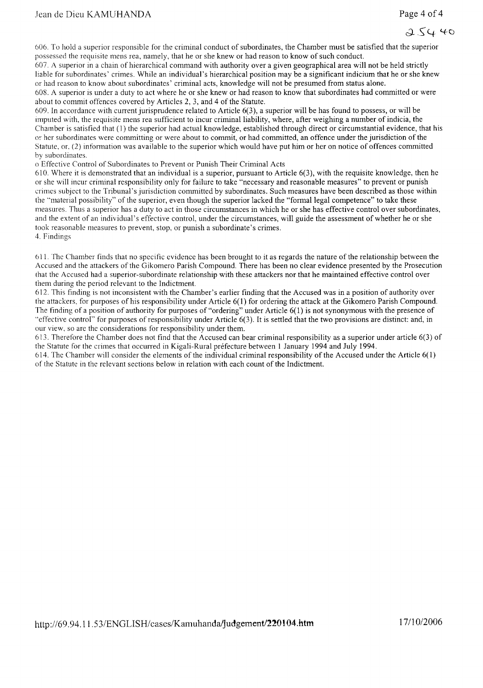606. To hold a superior responsible for the criminal conduct of subordinates, the Chamber must be satisfied that the superior possessed the requisite mens rea, namely, that he or she knew or had reason to know of such conduct.

607. A superior in a chain of hierarchical command with authority over a given geographical area will not be held strictly liable for subordinates' crimes. While an individual's hierarchical position may be a significant indicium that he or she knew or had reason to know about subordinates' criminal acts, knowledge will not be presumed from status alone.

608. A superior is under a duty to act where he or she knew or had reason to know that subordinates had committed or were about to commit offences covered by Articles 2, 3, and 4 of the Statute.

609. In accordance with current jurisprudence related to Article 6(3), a superior will be has found to possess, or will be imputed with, the requisite mens rea sufficient to incur criminal liability, where, after weighing a number of indicia, the Chamber is satisfied that (I) the superior had actual knowledge, established through direct or circumstantial evidence, that his or her subordinates were committing or were about to commit, or had committed, an offence under the jurisdiction of the Statute. or, (2) information was available to the superior which would have put him or her on notice of offences committed by subordinates.

o Effective Control of Subordinates to Prevent or Punish Their Criminal Acts

610. Where it is demonstrated that an individual is a superior, pursuant to Article  $6(3)$ , with the requisite knowledge, then he or she will incur criminal responsibility only for failure to take "necessary and reasonable measures" to prevent or punish crimes subject to the Tribunal's jurisdiction committed by subordinates. Such measures have been described as those within the "material possibility" of the superior, even though the superior lacked the "formal legal competence" to take these measures. Thus a superior has a duty to act in those circumstances in which he or she has effective control over subordinates, and the extent of an individual's effective control, under the circumstances, will guide the assessment of whether he or she took reasonable measures to prevent, stop, or punish a subordinate's crimes. 4. Findings

611. Thc Chamber finds that no specific evidence has been brought to it as regards the nature of the relationship between the Accused and the attackers of the Gikomero Parish Compound. There has been no clear evidence presented by the Prosecution that the Accuscd had a superior-subordinate relationship with these attackers nor that he maintained effective control over them during the period relevant to the Indictment.

612. This finding is not inconsistent with the Chamber's earlier finding that the Accused was in a position of authority over the attackers, for purposes of his responsibility under Article 6(1) for ordering the attack at the Gikomero Parish Compound. The finding of a position of authority for purposes of "ordering" under Article 6(1) is not synonymous with the presence of "effective control" for purposes ofresponsibility under Article 6(3). It is settled that the two provisions are distinct: and, in our view, so are the considerations for responsibility under them.

613. Therefore the Chamber does not find that the Accused can bear criminal responsibility as a superior under article 6(3) of the Statute for the crimes that occurred in Kigali-Rural prefecture between 1 January 1994 and July 1994.

614. The Chamber will consider the elements of the individual criminal responsibility of the Accused under the Article 6( I) of the Statute in the relevant sections below in relation with each count of the Indictment.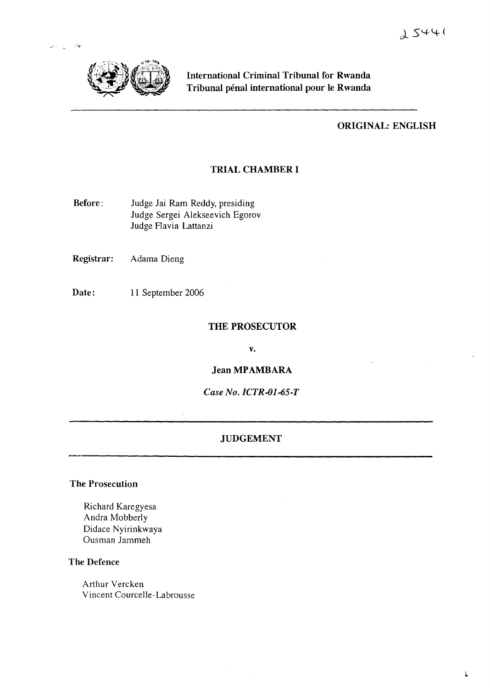

.<br>الله: <sub>الله</sub>: المعر

International Criminal Tribunal for Rwanda Tribunal pénal international pour le Rwanda

## ORIGINAL: ENGLISH

## TRIAL CHAMBER I

Before: Judge Jai Ram Reddy, presiding Judge Sergei Alekseevich Egorov Judge Flavia Lattanzi

Registrar: Adama Dieng

Date: 11 September 2006

## THE PROSECUTOR

v.

Jean MPAMBARA

*Case No. ICTR-Ol-65-T*

## JUDGEMENT

The Prosecution

Richard Karegyesa Andra Mobberly Didace Nyirinkwaya Gusman Jammeh

## The Defence

Arthur Vercken Vincent Courcelle-Labrousse